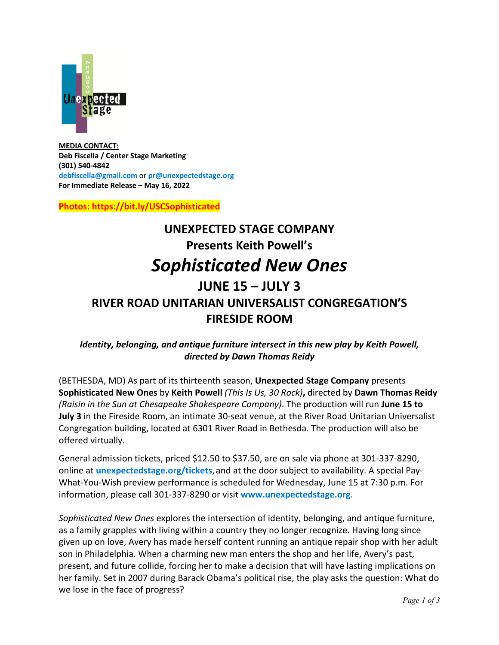

**MEDIA CONTACT: Deb Fiscella / Center Stage Marketing (301) 540-4842 debfiscella@gmail.com** or **pr@unexpectedstage.org For Immediate Release – May 16, 2022**

**Photos: https://bit.ly/USCSophisticated**

# **UNEXPECTED STAGE COMPANY Presents Keith Powell's** *Sophisticated New Ones* **JUNE 15 – JULY 3 RIVER ROAD UNITARIAN UNIVERSALIST CONGREGATION'S FIRESIDE ROOM**

# *Identity, belonging, and antique furniture intersect in this new play by Keith Powell, directed by Dawn Thomas Reidy*

(BETHESDA, MD) As part of its thirteenth season, **Unexpected Stage Company** presents **Sophisticated New Ones** by **Keith Powell** *(This Is Us, 30 Rock)***,** directed by **Dawn Thomas Reidy** *(Raisin in the Sun at Chesapeake Shakespeare Company)*. The production will run **June 15 to July 3** in the Fireside Room, an intimate 30-seat venue, at the River Road Unitarian Universalist Congregation building, located at 6301 River Road in Bethesda. The production will also be offered virtually.

General admission tickets, priced \$12.50 to \$37.50, are on sale via phone at 301-337-8290, online at **unexpectedstage.org/tickets**, and at the door subject to availability. A special Pay-What-You-Wish preview performance is scheduled for Wednesday, June 15 at 7:30 p.m. For information, please call 301-337-8290 or visit **www.unexpectedstage.org**.

*Sophisticated New Ones* explores the intersection of identity, belonging, and antique furniture, as a family grapples with living within a country they no longer recognize. Having long since given up on love, Avery has made herself content running an antique repair shop with her adult son in Philadelphia. When a charming new man enters the shop and her life, Avery's past, present, and future collide, forcing her to make a decision that will have lasting implications on her family. Set in 2007 during Barack Obama's political rise, the play asks the question: What do we lose in the face of progress?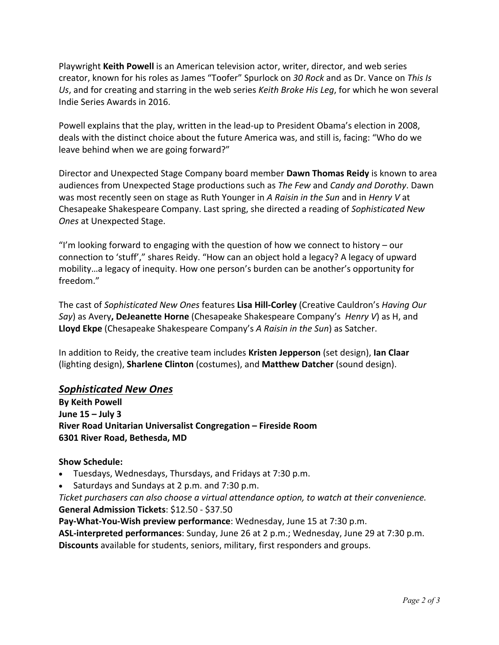Playwright **Keith Powell** is an American television actor, writer, director, and web series creator, known for his roles as James "Toofer" Spurlock on *30 Rock* and as Dr. Vance on *This Is Us*, and for creating and starring in the web series *Keith Broke His Leg*, for which he won several Indie Series Awards in 2016.

Powell explains that the play, written in the lead-up to President Obama's election in 2008, deals with the distinct choice about the future America was, and still is, facing: "Who do we leave behind when we are going forward?"

Director and Unexpected Stage Company board member **Dawn Thomas Reidy** is known to area audiences from Unexpected Stage productions such as *The Few* and *Candy and Dorothy*. Dawn was most recently seen on stage as Ruth Younger in *A Raisin in the Sun* and in *Henry V* at Chesapeake Shakespeare Company. Last spring, she directed a reading of *Sophisticated New Ones* at Unexpected Stage.

"I'm looking forward to engaging with the question of how we connect to history – our connection to 'stuff'," shares Reidy. "How can an object hold a legacy? A legacy of upward mobility…a legacy of inequity. How one person's burden can be another's opportunity for freedom."

The cast of *Sophisticated New Ones* features **Lisa Hill-Corley** (Creative Cauldron's *Having Our Say*) as Avery**, DeJeanette Horne** (Chesapeake Shakespeare Company's *Henry V*) as H, and **Lloyd Ekpe** (Chesapeake Shakespeare Company's *A Raisin in the Sun*) as Satcher.

In addition to Reidy, the creative team includes **Kristen Jepperson** (set design), **Ian Claar** (lighting design), **Sharlene Clinton** (costumes), and **Matthew Datcher** (sound design).

## *Sophisticated New Ones*

**By Keith Powell June 15 – July 3 River Road Unitarian Universalist Congregation – Fireside Room 6301 River Road, Bethesda, MD** 

## **Show Schedule:**

- Tuesdays, Wednesdays, Thursdays, and Fridays at 7:30 p.m.
- Saturdays and Sundays at 2 p.m. and 7:30 p.m.

*Ticket purchasers can also choose a virtual attendance option, to watch at their convenience.* **General Admission Tickets**: \$12.50 - \$37.50

**Pay-What-You-Wish preview performance**: Wednesday, June 15 at 7:30 p.m. **ASL-interpreted performances**: Sunday, June 26 at 2 p.m.; Wednesday, June 29 at 7:30 p.m. **Discounts** available for students, seniors, military, first responders and groups.